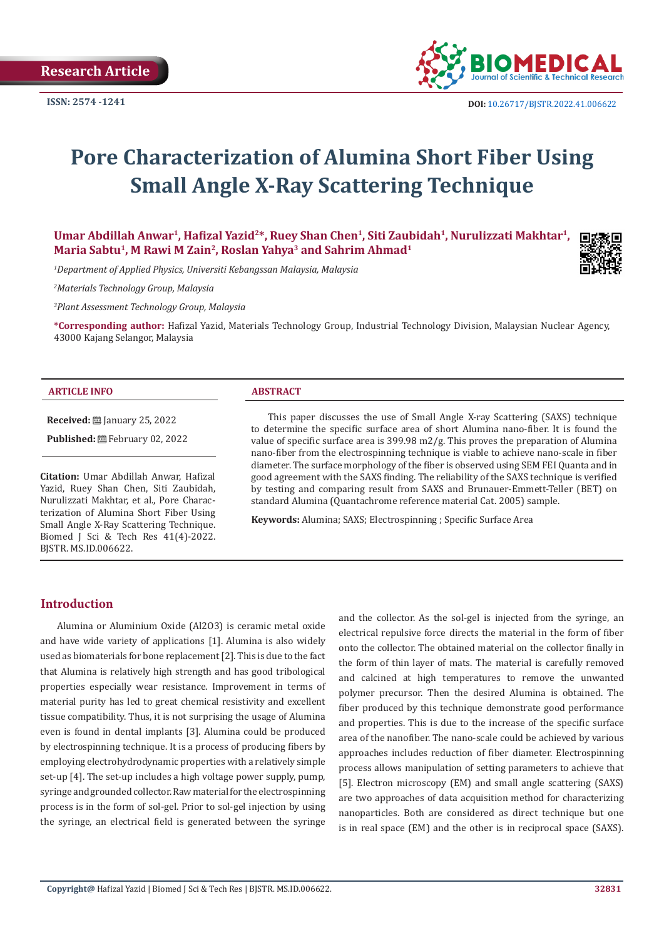

# **Pore Characterization of Alumina Short Fiber Using Small Angle X-Ray Scattering Technique**

Umar Abdillah Anwar<sup>1</sup>, Hafizal Yazid<sup>2\*</sup>, Ruey Shan Chen<sup>1</sup>, Siti Zaubidah<sup>1</sup>, Nurulizzati Makhtar<sup>1</sup>, **Maria Sabtu1, M Rawi M Zain2, Roslan Yahya3 and Sahrim Ahmad1**

*1 Department of Applied Physics, Universiti Kebangssan Malaysia, Malaysia*

*2 Materials Technology Group, Malaysia*

*3 Plant Assessment Technology Group, Malaysia*

**\*Corresponding author:** Hafizal Yazid, Materials Technology Group, Industrial Technology Division, Malaysian Nuclear Agency, 43000 Kajang Selangor, Malaysia

### **ARTICLE INFO ABSTRACT**

**Received:** ■ January 25, 2022

Published: **世**February 02, 2022

**Citation:** Umar Abdillah Anwar, Hafizal Yazid, Ruey Shan Chen, Siti Zaubidah, Nurulizzati Makhtar, et al., Pore Characterization of Alumina Short Fiber Using Small Angle X-Ray Scattering Technique. Biomed J Sci & Tech Res 41(4)-2022. BJSTR. MS.ID.006622.

This paper discusses the use of Small Angle X-ray Scattering (SAXS) technique to determine the specific surface area of short Alumina nano-fiber. It is found the value of specific surface area is 399.98 m2/g. This proves the preparation of Alumina nano-fiber from the electrospinning technique is viable to achieve nano-scale in fiber diameter. The surface morphology of the fiber is observed using SEM FEI Quanta and in good agreement with the SAXS finding. The reliability of the SAXS technique is verified by testing and comparing result from SAXS and Brunauer-Emmett-Teller (BET) on standard Alumina (Quantachrome reference material Cat. 2005) sample.

**Keywords:** Alumina; SAXS; Electrospinning ; Specific Surface Area

# **Introduction**

Alumina or Aluminium Oxide (Al2O3) is ceramic metal oxide and have wide variety of applications [1]. Alumina is also widely used as biomaterials for bone replacement [2]. This is due to the fact that Alumina is relatively high strength and has good tribological properties especially wear resistance. Improvement in terms of material purity has led to great chemical resistivity and excellent tissue compatibility. Thus, it is not surprising the usage of Alumina even is found in dental implants [3]. Alumina could be produced by electrospinning technique. It is a process of producing fibers by employing electrohydrodynamic properties with a relatively simple set-up [4]. The set-up includes a high voltage power supply, pump, syringe and grounded collector. Raw material for the electrospinning process is in the form of sol-gel. Prior to sol-gel injection by using the syringe, an electrical field is generated between the syringe

and the collector. As the sol-gel is injected from the syringe, an electrical repulsive force directs the material in the form of fiber onto the collector. The obtained material on the collector finally in the form of thin layer of mats. The material is carefully removed and calcined at high temperatures to remove the unwanted polymer precursor. Then the desired Alumina is obtained. The fiber produced by this technique demonstrate good performance and properties. This is due to the increase of the specific surface area of the nanofiber. The nano-scale could be achieved by various approaches includes reduction of fiber diameter. Electrospinning process allows manipulation of setting parameters to achieve that [5]. Electron microscopy (EM) and small angle scattering (SAXS) are two approaches of data acquisition method for characterizing nanoparticles. Both are considered as direct technique but one is in real space (EM) and the other is in reciprocal space (SAXS).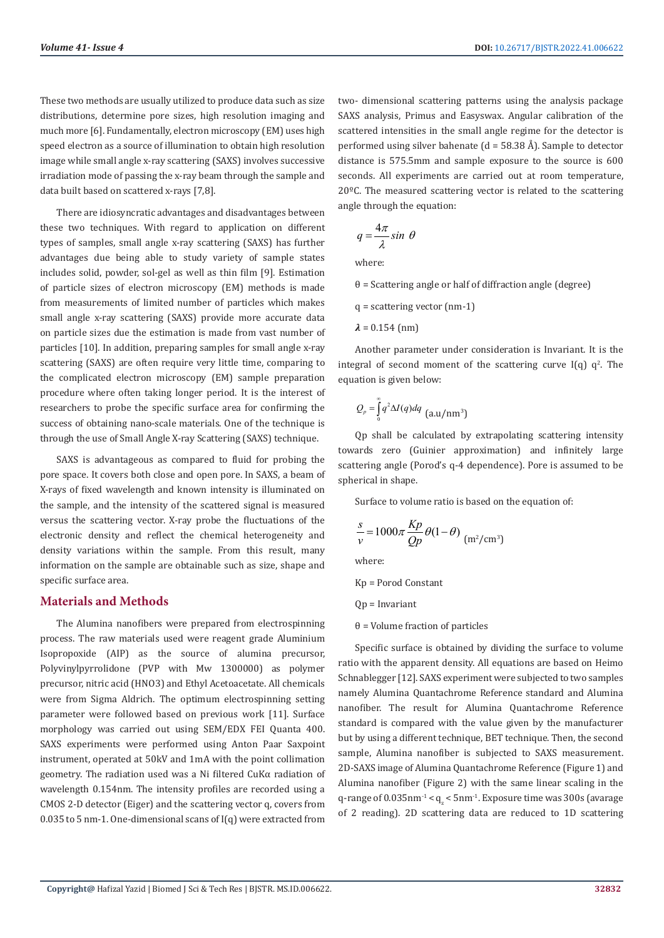These two methods are usually utilized to produce data such as size distributions, determine pore sizes, high resolution imaging and much more [6]. Fundamentally, electron microscopy (EM) uses high speed electron as a source of illumination to obtain high resolution image while small angle x-ray scattering (SAXS) involves successive irradiation mode of passing the x-ray beam through the sample and data built based on scattered x-rays [7,8].

There are idiosyncratic advantages and disadvantages between these two techniques. With regard to application on different types of samples, small angle x-ray scattering (SAXS) has further advantages due being able to study variety of sample states includes solid, powder, sol-gel as well as thin film [9]. Estimation of particle sizes of electron microscopy (EM) methods is made from measurements of limited number of particles which makes small angle x-ray scattering (SAXS) provide more accurate data on particle sizes due the estimation is made from vast number of particles [10]. In addition, preparing samples for small angle x-ray scattering (SAXS) are often require very little time, comparing to the complicated electron microscopy (EM) sample preparation procedure where often taking longer period. It is the interest of researchers to probe the specific surface area for confirming the success of obtaining nano-scale materials. One of the technique is through the use of Small Angle X-ray Scattering (SAXS) technique.

SAXS is advantageous as compared to fluid for probing the pore space. It covers both close and open pore. In SAXS, a beam of X-rays of fixed wavelength and known intensity is illuminated on the sample, and the intensity of the scattered signal is measured versus the scattering vector. X-ray probe the fluctuations of the electronic density and reflect the chemical heterogeneity and density variations within the sample. From this result, many information on the sample are obtainable such as size, shape and specific surface area.

## **Materials and Methods**

The Alumina nanofibers were prepared from electrospinning process. The raw materials used were reagent grade Aluminium Isopropoxide (AIP) as the source of alumina precursor, Polyvinylpyrrolidone (PVP with Mw 1300000) as polymer precursor, nitric acid (HNO3) and Ethyl Acetoacetate. All chemicals were from Sigma Aldrich. The optimum electrospinning setting parameter were followed based on previous work [11]. Surface morphology was carried out using SEM/EDX FEI Quanta 400. SAXS experiments were performed using Anton Paar Saxpoint instrument, operated at 50kV and 1mA with the point collimation geometry. The radiation used was a Ni filtered CuKα radiation of wavelength 0.154nm. The intensity profiles are recorded using a CMOS 2-D detector (Eiger) and the scattering vector q, covers from 0.035 to 5 nm-1. One-dimensional scans of I(q) were extracted from

two- dimensional scattering patterns using the analysis package SAXS analysis, Primus and Easyswax. Angular calibration of the scattered intensities in the small angle regime for the detector is performed using silver bahenate ( $d = 58.38 \text{ Å}$ ). Sample to detector distance is 575.5mm and sample exposure to the source is 600 seconds. All experiments are carried out at room temperature, 20ºC. The measured scattering vector is related to the scattering angle through the equation:

$$
q = \frac{4\pi}{\lambda} \sin \theta
$$

where:

- θ = Scattering angle or half of diffraction angle (degree)
- q = scattering vector (nm-1)
- $\lambda = 0.154$  (nm)

Another parameter under consideration is Invariant. It is the integral of second moment of the scattering curve  $I(q)$   $q^2$ . The equation is given below:

$$
Q_p = \int_0^\infty q^2 \Delta I(q) dq
$$
 (a.u/nm<sup>3</sup>)

Qp shall be calculated by extrapolating scattering intensity towards zero (Guinier approximation) and infinitely large scattering angle (Porod's q-4 dependence). Pore is assumed to be spherical in shape.

Surface to volume ratio is based on the equation of:

$$
\frac{s}{v} = 1000\pi \frac{Kp}{Qp} \theta(1-\theta) \text{ (m}^2/\text{cm}^3)
$$

where:

Kp = Porod Constant

Qp = Invariant

θ = Volume fraction of particles

Specific surface is obtained by dividing the surface to volume ratio with the apparent density. All equations are based on Heimo Schnablegger [12]. SAXS experiment were subjected to two samples namely Alumina Quantachrome Reference standard and Alumina nanofiber. The result for Alumina Quantachrome Reference standard is compared with the value given by the manufacturer but by using a different technique, BET technique. Then, the second sample, Alumina nanofiber is subjected to SAXS measurement. 2D-SAXS image of Alumina Quantachrome Reference (Figure 1) and Alumina nanofiber (Figure 2) with the same linear scaling in the q-range of  $0.035$ nm $^{-1}$  <  $q_z$  < 5nm $^{-1}$ . Exposure time was  $300$ s (avarage of 2 reading). 2D scattering data are reduced to 1D scattering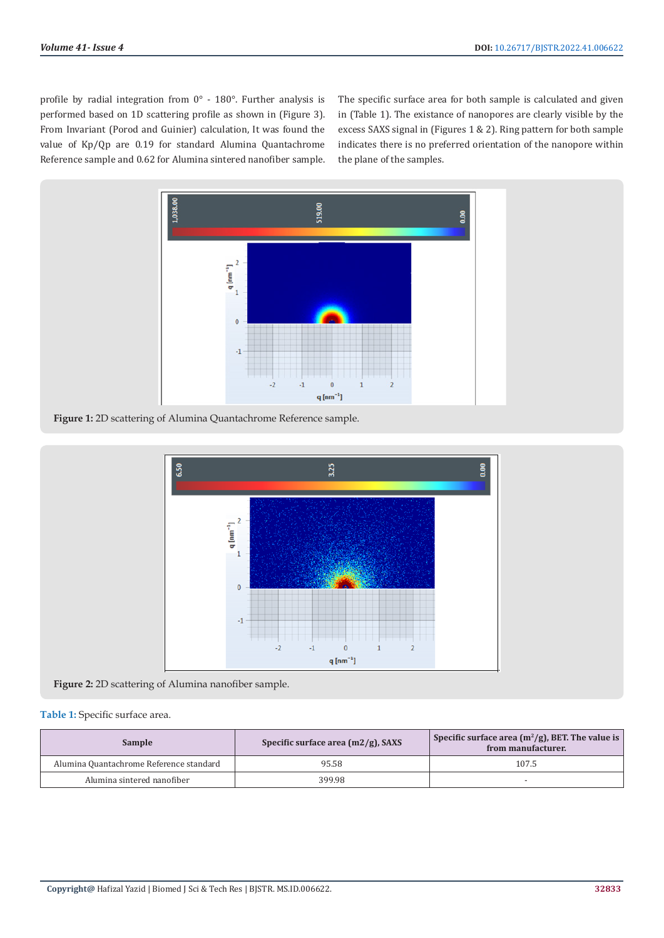profile by radial integration from 0° - 180°. Further analysis is performed based on 1D scattering profile as shown in (Figure 3). From Invariant (Porod and Guinier) calculation, It was found the value of Kp/Qp are 0.19 for standard Alumina Quantachrome Reference sample and 0.62 for Alumina sintered nanofiber sample. The specific surface area for both sample is calculated and given in (Table 1). The existance of nanopores are clearly visible by the excess SAXS signal in (Figures 1 & 2). Ring pattern for both sample indicates there is no preferred orientation of the nanopore within the plane of the samples.



**Figure 1:** 2D scattering of Alumina Quantachrome Reference sample.



**Figure 2:** 2D scattering of Alumina nanofiber sample.

# **Table 1:** Specific surface area.

| Sample                                  | Specific surface area $(m2/g)$ , SAXS | Specific surface area $(m^2/g)$ , BET. The value is<br>from manufacturer. |
|-----------------------------------------|---------------------------------------|---------------------------------------------------------------------------|
| Alumina Quantachrome Reference standard | 95.58                                 | 107.5                                                                     |
| Alumina sintered nanofiber              | 399.98                                |                                                                           |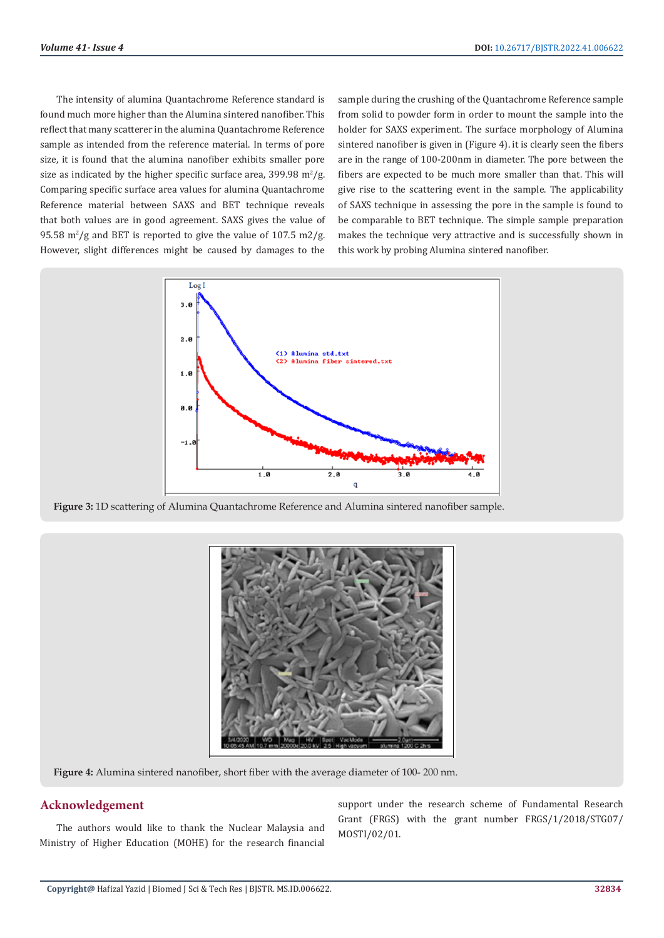The intensity of alumina Quantachrome Reference standard is found much more higher than the Alumina sintered nanofiber. This reflect that many scatterer in the alumina Quantachrome Reference sample as intended from the reference material. In terms of pore size, it is found that the alumina nanofiber exhibits smaller pore size as indicated by the higher specific surface area,  $399.98 \text{ m}^2/\text{g}$ . Comparing specific surface area values for alumina Quantachrome Reference material between SAXS and BET technique reveals that both values are in good agreement. SAXS gives the value of 95.58  $\mathrm{m}^2/\mathrm{g}$  and BET is reported to give the value of 107.5 m2/g. However, slight differences might be caused by damages to the

sample during the crushing of the Quantachrome Reference sample from solid to powder form in order to mount the sample into the holder for SAXS experiment. The surface morphology of Alumina sintered nanofiber is given in (Figure 4). it is clearly seen the fibers are in the range of 100-200nm in diameter. The pore between the fibers are expected to be much more smaller than that. This will give rise to the scattering event in the sample. The applicability of SAXS technique in assessing the pore in the sample is found to be comparable to BET technique. The simple sample preparation makes the technique very attractive and is successfully shown in this work by probing Alumina sintered nanofiber.



**Figure 3:** 1D scattering of Alumina Quantachrome Reference and Alumina sintered nanofiber sample.



**Figure 4:** Alumina sintered nanofiber, short fiber with the average diameter of 100- 200 nm.

# **Acknowledgement**

The authors would like to thank the Nuclear Malaysia and Ministry of Higher Education (MOHE) for the research financial support under the research scheme of Fundamental Research Grant (FRGS) with the grant number FRGS/1/2018/STG07/ MOSTI/02/01.